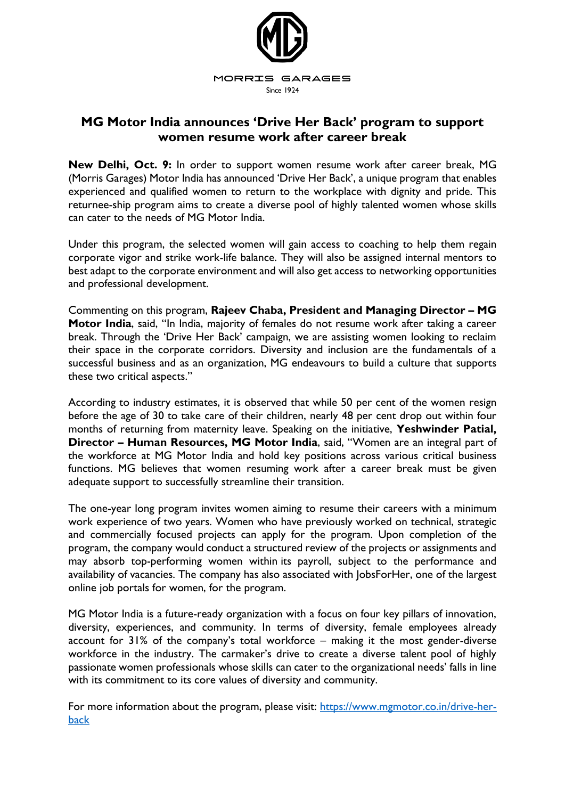

## **MG Motor India announces 'Drive Her Back' program to support women resume work after career break**

**New Delhi, Oct. 9:** In order to support women resume work after career break, MG (Morris Garages) Motor India has announced 'Drive Her Back', a unique program that enables experienced and qualified women to return to the workplace with dignity and pride. This returnee-ship program aims to create a diverse pool of highly talented women whose skills can cater to the needs of MG Motor India.

Under this program, the selected women will gain access to coaching to help them regain corporate vigor and strike work-life balance. They will also be assigned internal mentors to best adapt to the corporate environment and will also get access to networking opportunities and professional development.

Commenting on this program, **Rajeev Chaba, President and Managing Director – MG Motor India**, said, "In India, majority of females do not resume work after taking a career break. Through the 'Drive Her Back' campaign, we are assisting women looking to reclaim their space in the corporate corridors. Diversity and inclusion are the fundamentals of a successful business and as an organization, MG endeavours to build a culture that supports these two critical aspects."

According to industry estimates, it is observed that while 50 per cent of the women resign before the age of 30 to take care of their children, nearly 48 per cent drop out within four months of returning from maternity leave. Speaking on the initiative, **Yeshwinder Patial, Director – Human Resources, MG Motor India**, said, "Women are an integral part of the workforce at MG Motor India and hold key positions across various critical business functions. MG believes that women resuming work after a career break must be given adequate support to successfully streamline their transition.

The one-year long program invites women aiming to resume their careers with a minimum work experience of two years. Women who have previously worked on technical, strategic and commercially focused projects can apply for the program. Upon completion of the program, the company would conduct a structured review of the projects or assignments and may absorb top-performing women within its payroll, subject to the performance and availability of vacancies. The company has also associated with JobsForHer, one of the largest online job portals for women, for the program.

MG Motor India is a future-ready organization with a focus on four key pillars of innovation, diversity, experiences, and community. In terms of diversity, female employees already account for 31% of the company's total workforce – making it the most gender-diverse workforce in the industry. The carmaker's drive to create a diverse talent pool of highly passionate women professionals whose skills can cater to the organizational needs' falls in line with its commitment to its core values of diversity and community.

For more information about the program, please visit: [https://www.mgmotor.co.in/drive-her](https://www.mgmotor.co.in/drive-her-back)[back](https://www.mgmotor.co.in/drive-her-back)